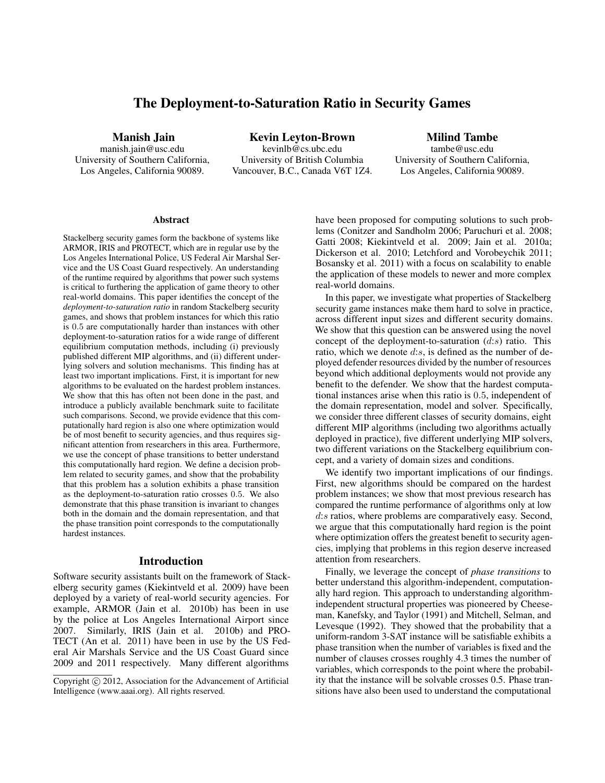# The Deployment-to-Saturation Ratio in Security Games

Manish Jain

manish.jain@usc.edu University of Southern California, Los Angeles, California 90089.

Kevin Leyton-Brown kevinlb@cs.ubc.edu University of British Columbia Vancouver, B.C., Canada V6T 1Z4.

Milind Tambe tambe@usc.edu University of Southern California, Los Angeles, California 90089.

#### **Abstract**

Stackelberg security games form the backbone of systems like ARMOR, IRIS and PROTECT, which are in regular use by the Los Angeles International Police, US Federal Air Marshal Service and the US Coast Guard respectively. An understanding of the runtime required by algorithms that power such systems is critical to furthering the application of game theory to other real-world domains. This paper identifies the concept of the *deployment-to-saturation ratio* in random Stackelberg security games, and shows that problem instances for which this ratio is 0.5 are computationally harder than instances with other deployment-to-saturation ratios for a wide range of different equilibrium computation methods, including (i) previously published different MIP algorithms, and (ii) different underlying solvers and solution mechanisms. This finding has at least two important implications. First, it is important for new algorithms to be evaluated on the hardest problem instances. We show that this has often not been done in the past, and introduce a publicly available benchmark suite to facilitate such comparisons. Second, we provide evidence that this computationally hard region is also one where optimization would be of most benefit to security agencies, and thus requires significant attention from researchers in this area. Furthermore, we use the concept of phase transitions to better understand this computationally hard region. We define a decision problem related to security games, and show that the probability that this problem has a solution exhibits a phase transition as the deployment-to-saturation ratio crosses 0.5. We also demonstrate that this phase transition is invariant to changes both in the domain and the domain representation, and that the phase transition point corresponds to the computationally hardest instances.

#### Introduction

Software security assistants built on the framework of Stackelberg security games (Kiekintveld et al. 2009) have been deployed by a variety of real-world security agencies. For example, ARMOR (Jain et al. 2010b) has been in use by the police at Los Angeles International Airport since 2007. Similarly, IRIS (Jain et al. 2010b) and PRO-TECT (An et al. 2011) have been in use by the US Federal Air Marshals Service and the US Coast Guard since 2009 and 2011 respectively. Many different algorithms

have been proposed for computing solutions to such problems (Conitzer and Sandholm 2006; Paruchuri et al. 2008; Gatti 2008; Kiekintveld et al. 2009; Jain et al. 2010a; Dickerson et al. 2010; Letchford and Vorobeychik 2011; Bosansky et al. 2011) with a focus on scalability to enable the application of these models to newer and more complex real-world domains.

In this paper, we investigate what properties of Stackelberg security game instances make them hard to solve in practice, across different input sizes and different security domains. We show that this question can be answered using the novel concept of the deployment-to-saturation  $(d:s)$  ratio. This ratio, which we denote  $d:s$ , is defined as the number of deployed defender resources divided by the number of resources beyond which additional deployments would not provide any benefit to the defender. We show that the hardest computational instances arise when this ratio is 0.5, independent of the domain representation, model and solver. Specifically, we consider three different classes of security domains, eight different MIP algorithms (including two algorithms actually deployed in practice), five different underlying MIP solvers, two different variations on the Stackelberg equilibrium concept, and a variety of domain sizes and conditions.

We identify two important implications of our findings. First, new algorithms should be compared on the hardest problem instances; we show that most previous research has compared the runtime performance of algorithms only at low d:s ratios, where problems are comparatively easy. Second, we argue that this computationally hard region is the point where optimization offers the greatest benefit to security agencies, implying that problems in this region deserve increased attention from researchers.

Finally, we leverage the concept of *phase transitions* to better understand this algorithm-independent, computationally hard region. This approach to understanding algorithmindependent structural properties was pioneered by Cheeseman, Kanefsky, and Taylor (1991) and Mitchell, Selman, and Levesque (1992). They showed that the probability that a uniform-random 3-SAT instance will be satisfiable exhibits a phase transition when the number of variables is fixed and the number of clauses crosses roughly 4.3 times the number of variables, which corresponds to the point where the probability that the instance will be solvable crosses 0.5. Phase transitions have also been used to understand the computational

Copyright (c) 2012, Association for the Advancement of Artificial Intelligence (www.aaai.org). All rights reserved.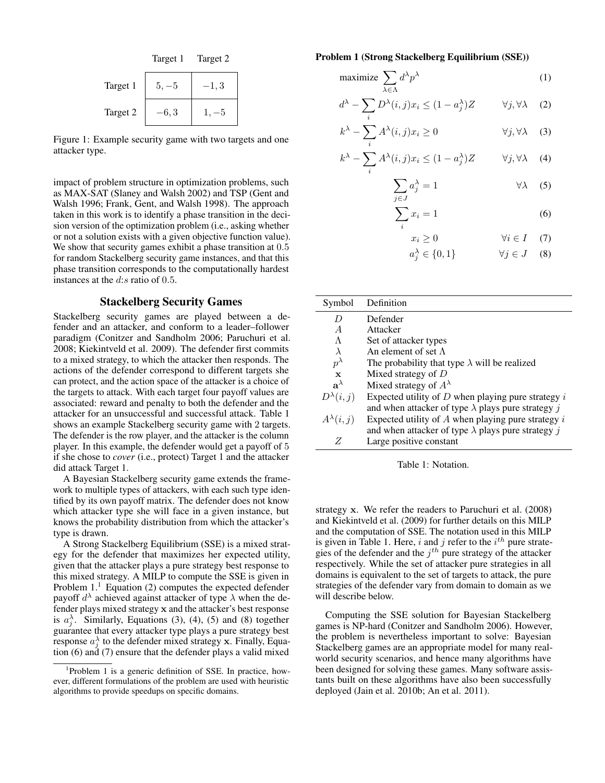

Figure 1: Example security game with two targets and one attacker type.

impact of problem structure in optimization problems, such as MAX-SAT (Slaney and Walsh 2002) and TSP (Gent and Walsh 1996; Frank, Gent, and Walsh 1998). The approach taken in this work is to identify a phase transition in the decision version of the optimization problem (i.e., asking whether or not a solution exists with a given objective function value). We show that security games exhibit a phase transition at  $0.5$ for random Stackelberg security game instances, and that this phase transition corresponds to the computationally hardest instances at the d:s ratio of 0.5.

### Stackelberg Security Games

Stackelberg security games are played between a defender and an attacker, and conform to a leader–follower paradigm (Conitzer and Sandholm 2006; Paruchuri et al. 2008; Kiekintveld et al. 2009). The defender first commits to a mixed strategy, to which the attacker then responds. The actions of the defender correspond to different targets she can protect, and the action space of the attacker is a choice of the targets to attack. With each target four payoff values are associated: reward and penalty to both the defender and the attacker for an unsuccessful and successful attack. Table 1 shows an example Stackelberg security game with 2 targets. The defender is the row player, and the attacker is the column player. In this example, the defender would get a payoff of 5 if she chose to *cover* (i.e., protect) Target 1 and the attacker did attack Target 1.

A Bayesian Stackelberg security game extends the framework to multiple types of attackers, with each such type identified by its own payoff matrix. The defender does not know which attacker type she will face in a given instance, but knows the probability distribution from which the attacker's type is drawn.

A Strong Stackelberg Equilibrium (SSE) is a mixed strategy for the defender that maximizes her expected utility, given that the attacker plays a pure strategy best response to this mixed strategy. A MILP to compute the SSE is given in Problem  $1<sup>1</sup>$  Equation (2) computes the expected defender payoff  $d^{\lambda}$  achieved against attacker of type  $\lambda$  when the defender plays mixed strategy x and the attacker's best response is  $a_j^{\lambda}$ . Similarly, Equations (3), (4), (5) and (8) together guarantee that every attacker type plays a pure strategy best response  $a_j^{\lambda}$  to the defender mixed strategy x. Finally, Equation (6) and (7) ensure that the defender plays a valid mixed

#### Problem 1 (Strong Stackelberg Equilibrium (SSE))

$$
\text{maximize } \sum_{\lambda \in \Lambda} d^{\lambda} p^{\lambda} \tag{1}
$$

$$
d^{\lambda} - \sum_{i} D^{\lambda}(i, j)x_{i} \le (1 - a_{j}^{\lambda})Z \qquad \forall j, \forall \lambda \quad (2)
$$

$$
k^{\lambda} - \sum_{i} A^{\lambda}(i, j)x_{i} \ge 0 \qquad \forall j, \forall \lambda \quad (3)
$$

$$
k^{\lambda} - \sum_{i} A^{\lambda}(i, j)x_{i} \le (1 - a_{j}^{\lambda})Z \qquad \forall j, \forall \lambda \quad (4)
$$

$$
\sum_{j \in J} a_j^{\lambda} = 1 \qquad \forall \lambda \quad (5)
$$

$$
\sum_{i} x_i = 1 \tag{6}
$$

$$
x_i \ge 0 \qquad \forall i \in I \quad (7)
$$

$$
a_j^{\lambda} \in \{0, 1\} \qquad \forall j \in J \quad (8)
$$

| Symbol             | Definition                                                |
|--------------------|-----------------------------------------------------------|
| D                  | Defender                                                  |
| $\overline{A}$     | Attacker                                                  |
| $\Lambda$          | Set of attacker types                                     |
| $\lambda$          | An element of set $\Lambda$                               |
| $p^{\lambda}$      | The probability that type $\lambda$ will be realized      |
| $\mathbf{x}$       | Mixed strategy of $D$                                     |
| $a^{\lambda}$      | Mixed strategy of $A^{\lambda}$                           |
| $D^{\lambda}(i,j)$ | Expected utility of $D$ when playing pure strategy $i$    |
|                    | and when attacker of type $\lambda$ plays pure strategy j |
| $A^{\lambda}(i,j)$ | Expected utility of $A$ when playing pure strategy $i$    |
|                    | and when attacker of type $\lambda$ plays pure strategy j |
| Z                  | Large positive constant                                   |

Table 1: Notation.

strategy x. We refer the readers to Paruchuri et al. (2008) and Kiekintveld et al. (2009) for further details on this MILP and the computation of SSE. The notation used in this MILP is given in Table 1. Here, i and j refer to the  $i^{th}$  pure strategies of the defender and the  $j<sup>th</sup>$  pure strategy of the attacker respectively. While the set of attacker pure strategies in all domains is equivalent to the set of targets to attack, the pure strategies of the defender vary from domain to domain as we will describe below.

Computing the SSE solution for Bayesian Stackelberg games is NP-hard (Conitzer and Sandholm 2006). However, the problem is nevertheless important to solve: Bayesian Stackelberg games are an appropriate model for many realworld security scenarios, and hence many algorithms have been designed for solving these games. Many software assistants built on these algorithms have also been successfully deployed (Jain et al. 2010b; An et al. 2011).

<sup>&</sup>lt;sup>1</sup>Problem 1 is a generic definition of SSE. In practice, however, different formulations of the problem are used with heuristic algorithms to provide speedups on specific domains.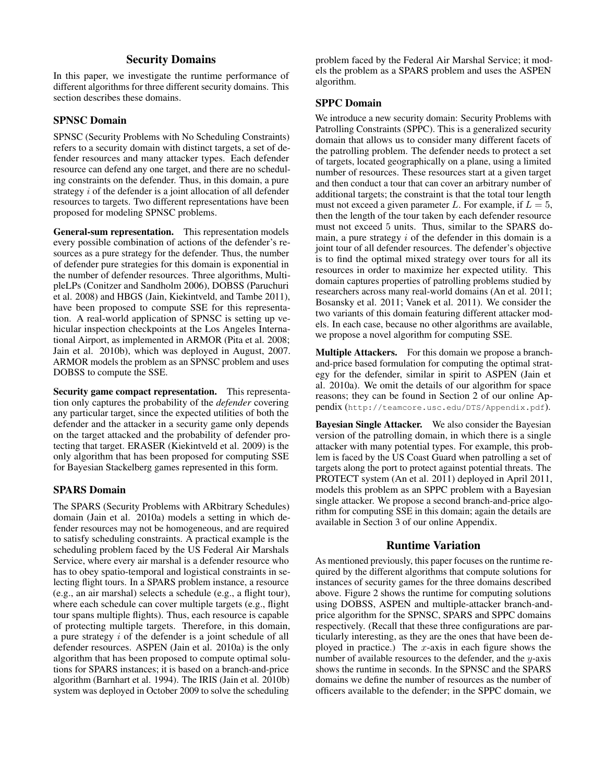# Security Domains

In this paper, we investigate the runtime performance of different algorithms for three different security domains. This section describes these domains.

# SPNSC Domain

SPNSC (Security Problems with No Scheduling Constraints) refers to a security domain with distinct targets, a set of defender resources and many attacker types. Each defender resource can defend any one target, and there are no scheduling constraints on the defender. Thus, in this domain, a pure strategy  $i$  of the defender is a joint allocation of all defender resources to targets. Two different representations have been proposed for modeling SPNSC problems.

General-sum representation. This representation models every possible combination of actions of the defender's resources as a pure strategy for the defender. Thus, the number of defender pure strategies for this domain is exponential in the number of defender resources. Three algorithms, MultipleLPs (Conitzer and Sandholm 2006), DOBSS (Paruchuri et al. 2008) and HBGS (Jain, Kiekintveld, and Tambe 2011), have been proposed to compute SSE for this representation. A real-world application of SPNSC is setting up vehicular inspection checkpoints at the Los Angeles International Airport, as implemented in ARMOR (Pita et al. 2008; Jain et al. 2010b), which was deployed in August, 2007. ARMOR models the problem as an SPNSC problem and uses DOBSS to compute the SSE.

Security game compact representation. This representation only captures the probability of the *defender* covering any particular target, since the expected utilities of both the defender and the attacker in a security game only depends on the target attacked and the probability of defender protecting that target. ERASER (Kiekintveld et al. 2009) is the only algorithm that has been proposed for computing SSE for Bayesian Stackelberg games represented in this form.

# SPARS Domain

The SPARS (Security Problems with ARbitrary Schedules) domain (Jain et al. 2010a) models a setting in which defender resources may not be homogeneous, and are required to satisfy scheduling constraints. A practical example is the scheduling problem faced by the US Federal Air Marshals Service, where every air marshal is a defender resource who has to obey spatio-temporal and logistical constraints in selecting flight tours. In a SPARS problem instance, a resource (e.g., an air marshal) selects a schedule (e.g., a flight tour), where each schedule can cover multiple targets (e.g., flight tour spans multiple flights). Thus, each resource is capable of protecting multiple targets. Therefore, in this domain, a pure strategy i of the defender is a joint schedule of all defender resources. ASPEN (Jain et al. 2010a) is the only algorithm that has been proposed to compute optimal solutions for SPARS instances; it is based on a branch-and-price algorithm (Barnhart et al. 1994). The IRIS (Jain et al. 2010b) system was deployed in October 2009 to solve the scheduling problem faced by the Federal Air Marshal Service; it models the problem as a SPARS problem and uses the ASPEN algorithm.

# SPPC Domain

We introduce a new security domain: Security Problems with Patrolling Constraints (SPPC). This is a generalized security domain that allows us to consider many different facets of the patrolling problem. The defender needs to protect a set of targets, located geographically on a plane, using a limited number of resources. These resources start at a given target and then conduct a tour that can cover an arbitrary number of additional targets; the constraint is that the total tour length must not exceed a given parameter L. For example, if  $L = 5$ , then the length of the tour taken by each defender resource must not exceed 5 units. Thus, similar to the SPARS domain, a pure strategy  $i$  of the defender in this domain is a joint tour of all defender resources. The defender's objective is to find the optimal mixed strategy over tours for all its resources in order to maximize her expected utility. This domain captures properties of patrolling problems studied by researchers across many real-world domains (An et al. 2011; Bosansky et al. 2011; Vanek et al. 2011). We consider the two variants of this domain featuring different attacker models. In each case, because no other algorithms are available, we propose a novel algorithm for computing SSE.

Multiple Attackers. For this domain we propose a branchand-price based formulation for computing the optimal strategy for the defender, similar in spirit to ASPEN (Jain et al. 2010a). We omit the details of our algorithm for space reasons; they can be found in Section 2 of our online Appendix (http://teamcore.usc.edu/DTS/Appendix.pdf).

Bayesian Single Attacker. We also consider the Bayesian version of the patrolling domain, in which there is a single attacker with many potential types. For example, this problem is faced by the US Coast Guard when patrolling a set of targets along the port to protect against potential threats. The PROTECT system (An et al. 2011) deployed in April 2011, models this problem as an SPPC problem with a Bayesian single attacker. We propose a second branch-and-price algorithm for computing SSE in this domain; again the details are available in Section 3 of our online Appendix.

# Runtime Variation

As mentioned previously, this paper focuses on the runtime required by the different algorithms that compute solutions for instances of security games for the three domains described above. Figure 2 shows the runtime for computing solutions using DOBSS, ASPEN and multiple-attacker branch-andprice algorithm for the SPNSC, SPARS and SPPC domains respectively. (Recall that these three configurations are particularly interesting, as they are the ones that have been deployed in practice.) The  $x$ -axis in each figure shows the number of available resources to the defender, and the  $y$ -axis shows the runtime in seconds. In the SPNSC and the SPARS domains we define the number of resources as the number of officers available to the defender; in the SPPC domain, we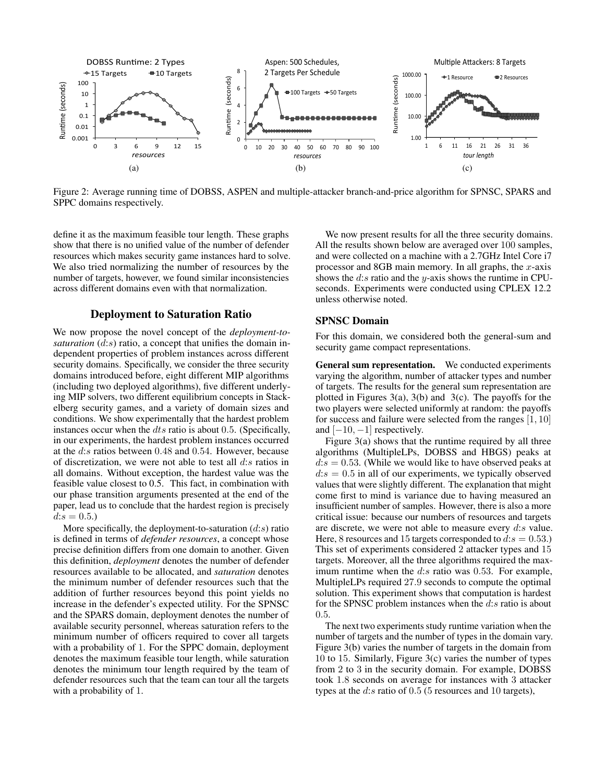

Figure 2: Average running time of DOBSS, ASPEN and multiple-attacker branch-and-price algorithm for SPNSC, SPARS and SPPC domains respectively.

define it as the maximum feasible tour length. These graphs show that there is no unified value of the number of defender resources which makes security game instances hard to solve. We also tried normalizing the number of resources by the number of targets, however, we found similar inconsistencies across different domains even with that normalization.

# Deployment to Saturation Ratio

We now propose the novel concept of the *deployment-tosaturation*  $(d:s)$  ratio, a concept that unifies the domain independent properties of problem instances across different security domains. Specifically, we consider the three security domains introduced before, eight different MIP algorithms (including two deployed algorithms), five different underlying MIP solvers, two different equilibrium concepts in Stackelberg security games, and a variety of domain sizes and conditions. We show experimentally that the hardest problem instances occur when the dts ratio is about 0.5. (Specifically, in our experiments, the hardest problem instances occurred at the d:s ratios between 0.48 and 0.54. However, because of discretization, we were not able to test all  $d:s$  ratios in all domains. Without exception, the hardest value was the feasible value closest to 0.5. This fact, in combination with our phase transition arguments presented at the end of the paper, lead us to conclude that the hardest region is precisely  $d:s = 0.5.$ 

More specifically, the deployment-to-saturation  $(d:s)$  ratio is defined in terms of *defender resources*, a concept whose precise definition differs from one domain to another. Given this definition, *deployment* denotes the number of defender resources available to be allocated, and *saturation* denotes the minimum number of defender resources such that the addition of further resources beyond this point yields no increase in the defender's expected utility. For the SPNSC and the SPARS domain, deployment denotes the number of available security personnel, whereas saturation refers to the minimum number of officers required to cover all targets with a probability of 1. For the SPPC domain, deployment denotes the maximum feasible tour length, while saturation denotes the minimum tour length required by the team of defender resources such that the team can tour all the targets with a probability of 1.

We now present results for all the three security domains. All the results shown below are averaged over 100 samples, and were collected on a machine with a 2.7GHz Intel Core i7 processor and 8GB main memory. In all graphs, the  $x$ -axis shows the  $d:s$  ratio and the y-axis shows the runtime in CPUseconds. Experiments were conducted using CPLEX 12.2 unless otherwise noted.

# SPNSC Domain

For this domain, we considered both the general-sum and security game compact representations.

General sum representation. We conducted experiments varying the algorithm, number of attacker types and number of targets. The results for the general sum representation are plotted in Figures  $3(a)$ ,  $3(b)$  and  $3(c)$ . The payoffs for the two players were selected uniformly at random: the payoffs for success and failure were selected from the ranges  $[1, 10]$ and  $[-10, -1]$  respectively.

Figure  $3(a)$  shows that the runtime required by all three algorithms (MultipleLPs, DOBSS and HBGS) peaks at  $d:s = 0.53$ . (While we would like to have observed peaks at  $d:s = 0.5$  in all of our experiments, we typically observed values that were slightly different. The explanation that might come first to mind is variance due to having measured an insufficient number of samples. However, there is also a more critical issue: because our numbers of resources and targets are discrete, we were not able to measure every  $d:s$  value. Here, 8 resources and 15 targets corresponded to  $d:s = 0.53$ .) This set of experiments considered 2 attacker types and 15 targets. Moreover, all the three algorithms required the maximum runtime when the d:s ratio was 0.53. For example, MultipleLPs required 27.9 seconds to compute the optimal solution. This experiment shows that computation is hardest for the SPNSC problem instances when the  $d:s$  ratio is about 0.5.

The next two experiments study runtime variation when the number of targets and the number of types in the domain vary. Figure 3(b) varies the number of targets in the domain from 10 to 15. Similarly, Figure 3(c) varies the number of types from 2 to 3 in the security domain. For example, DOBSS took 1.8 seconds on average for instances with 3 attacker types at the  $d$ :s ratio of 0.5 (5 resources and 10 targets),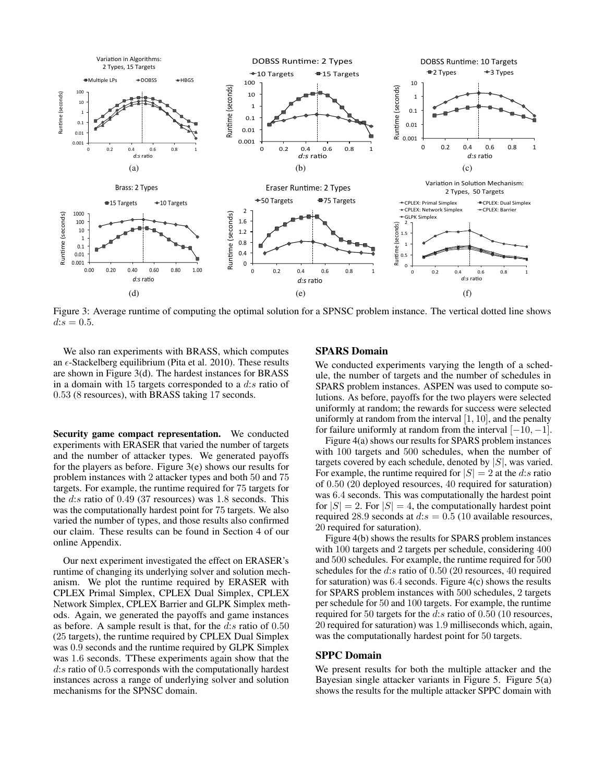

Figure 3: Average runtime of computing the optimal solution for a SPNSC problem instance. The vertical dotted line shows  $d:s = 0.5$ .

We also ran experiments with BRASS, which computes an  $\epsilon$ -Stackelberg equilibrium (Pita et al. 2010). These results are shown in Figure 3(d). The hardest instances for BRASS in a domain with 15 targets corresponded to a  $d:s$  ratio of 0.53 (8 resources), with BRASS taking 17 seconds.

Security game compact representation. We conducted experiments with ERASER that varied the number of targets and the number of attacker types. We generated payoffs for the players as before. Figure 3(e) shows our results for problem instances with 2 attacker types and both 50 and 75 targets. For example, the runtime required for 75 targets for the d:s ratio of 0.49 (37 resources) was 1.8 seconds. This was the computationally hardest point for 75 targets. We also varied the number of types, and those results also confirmed our claim. These results can be found in Section 4 of our online Appendix.

Our next experiment investigated the effect on ERASER's runtime of changing its underlying solver and solution mechanism. We plot the runtime required by ERASER with CPLEX Primal Simplex, CPLEX Dual Simplex, CPLEX Network Simplex, CPLEX Barrier and GLPK Simplex methods. Again, we generated the payoffs and game instances as before. A sample result is that, for the  $d:s$  ratio of 0.50 (25 targets), the runtime required by CPLEX Dual Simplex was 0.9 seconds and the runtime required by GLPK Simplex was 1.6 seconds. TThese experiments again show that the d:s ratio of 0.5 corresponds with the computationally hardest instances across a range of underlying solver and solution mechanisms for the SPNSC domain.

#### SPARS Domain

We conducted experiments varying the length of a schedule, the number of targets and the number of schedules in SPARS problem instances. ASPEN was used to compute solutions. As before, payoffs for the two players were selected uniformly at random; the rewards for success were selected uniformly at random from the interval  $[1, 10]$ , and the penalty for failure uniformly at random from the interval  $[-10, -1]$ .

Figure 4(a) shows our results for SPARS problem instances with 100 targets and 500 schedules, when the number of targets covered by each schedule, denoted by  $|S|$ , was varied. For example, the runtime required for  $|S| = 2$  at the d:s ratio of 0.50 (20 deployed resources, 40 required for saturation) was 6.4 seconds. This was computationally the hardest point for  $|S| = 2$ . For  $|S| = 4$ , the computationally hardest point required 28.9 seconds at  $d:s = 0.5$  (10 available resources, 20 required for saturation).

Figure 4(b) shows the results for SPARS problem instances with 100 targets and 2 targets per schedule, considering 400 and 500 schedules. For example, the runtime required for 500 schedules for the  $d:s$  ratio of 0.50 (20 resources, 40 required for saturation) was  $6.4$  seconds. Figure  $4(c)$  shows the results for SPARS problem instances with 500 schedules, 2 targets per schedule for 50 and 100 targets. For example, the runtime required for 50 targets for the d:s ratio of 0.50 (10 resources, 20 required for saturation) was 1.9 milliseconds which, again, was the computationally hardest point for 50 targets.

# SPPC Domain

We present results for both the multiple attacker and the Bayesian single attacker variants in Figure 5. Figure 5(a) shows the results for the multiple attacker SPPC domain with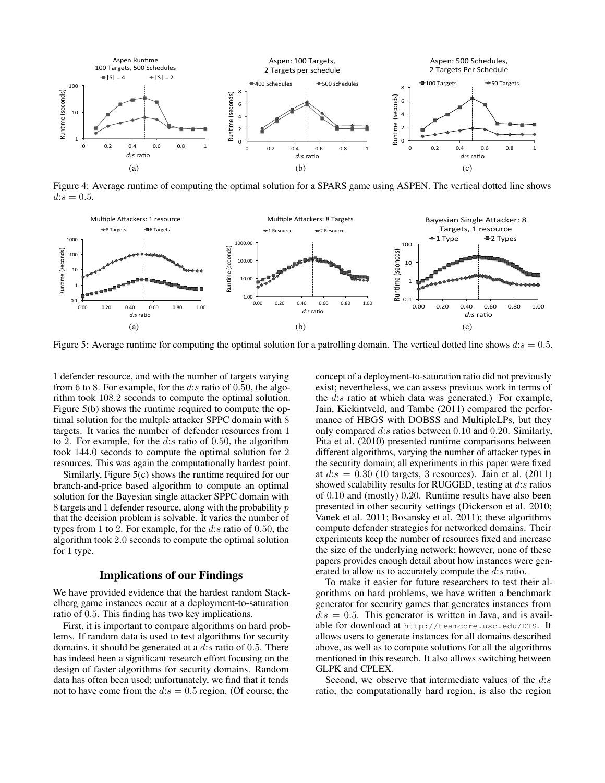

Figure 4: Average runtime of computing the optimal solution for a SPARS game using ASPEN. The vertical dotted line shows  $d:s = 0.5$ .



Figure 5: Average runtime for computing the optimal solution for a patrolling domain. The vertical dotted line shows  $d:s = 0.5$ .

1 defender resource, and with the number of targets varying from 6 to 8. For example, for the  $d:s$  ratio of 0.50, the algorithm took 108.2 seconds to compute the optimal solution. Figure 5(b) shows the runtime required to compute the optimal solution for the multple attacker SPPC domain with 8 targets. It varies the number of defender resources from 1 to 2. For example, for the  $d:s$  ratio of 0.50, the algorithm took 144.0 seconds to compute the optimal solution for 2 resources. This was again the computationally hardest point.

Similarly, Figure 5(c) shows the runtime required for our branch-and-price based algorithm to compute an optimal solution for the Bayesian single attacker SPPC domain with 8 targets and 1 defender resource, along with the probability p that the decision problem is solvable. It varies the number of types from 1 to 2. For example, for the  $d:s$  ratio of 0.50, the algorithm took 2.0 seconds to compute the optimal solution for 1 type.

#### Implications of our Findings

We have provided evidence that the hardest random Stackelberg game instances occur at a deployment-to-saturation ratio of 0.5. This finding has two key implications.

First, it is important to compare algorithms on hard problems. If random data is used to test algorithms for security domains, it should be generated at a  $d:s$  ratio of 0.5. There has indeed been a significant research effort focusing on the design of faster algorithms for security domains. Random data has often been used; unfortunately, we find that it tends not to have come from the  $d:s = 0.5$  region. (Of course, the concept of a deployment-to-saturation ratio did not previously exist; nevertheless, we can assess previous work in terms of the  $d:s$  ratio at which data was generated.) For example, Jain, Kiekintveld, and Tambe (2011) compared the performance of HBGS with DOBSS and MultipleLPs, but they only compared d:s ratios between 0.10 and 0.20. Similarly, Pita et al. (2010) presented runtime comparisons between different algorithms, varying the number of attacker types in the security domain; all experiments in this paper were fixed at  $d:s = 0.30$  (10 targets, 3 resources). Jain et al. (2011) showed scalability results for RUGGED, testing at  $d:s$  ratios of 0.10 and (mostly) 0.20. Runtime results have also been presented in other security settings (Dickerson et al. 2010; Vanek et al. 2011; Bosansky et al. 2011); these algorithms compute defender strategies for networked domains. Their experiments keep the number of resources fixed and increase the size of the underlying network; however, none of these papers provides enough detail about how instances were generated to allow us to accurately compute the d:s ratio.

To make it easier for future researchers to test their algorithms on hard problems, we have written a benchmark generator for security games that generates instances from  $d:s = 0.5$ . This generator is written in Java, and is available for download at http://teamcore.usc.edu/DTS. It allows users to generate instances for all domains described above, as well as to compute solutions for all the algorithms mentioned in this research. It also allows switching between GLPK and CPLEX.

Second, we observe that intermediate values of the  $d:s$ ratio, the computationally hard region, is also the region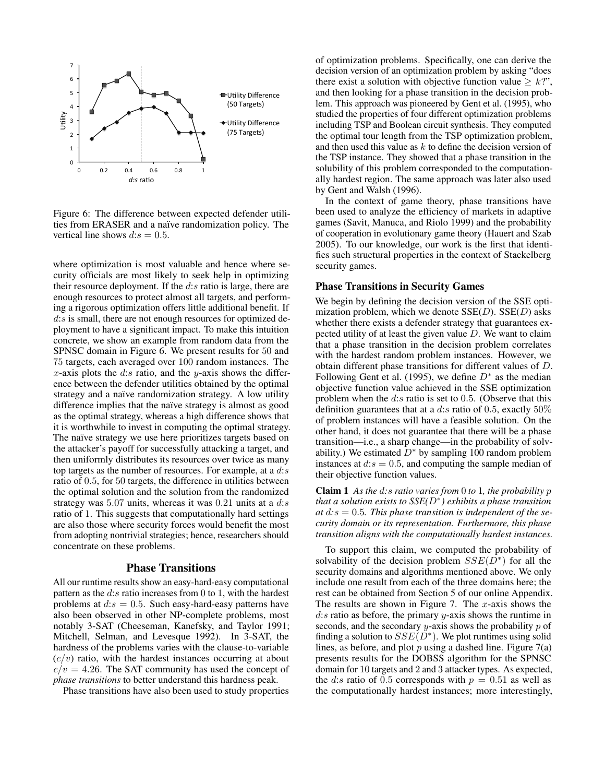

Figure 6: The difference between expected defender utilities from ERASER and a naïve randomization policy. The vertical line shows  $d:s = 0.5$ .

where optimization is most valuable and hence where security officials are most likely to seek help in optimizing their resource deployment. If the  $d:s$  ratio is large, there are enough resources to protect almost all targets, and performing a rigorous optimization offers little additional benefit. If d:s is small, there are not enough resources for optimized deployment to have a significant impact. To make this intuition concrete, we show an example from random data from the SPNSC domain in Figure 6. We present results for 50 and 75 targets, each averaged over 100 random instances. The x-axis plots the d:s ratio, and the y-axis shows the difference between the defender utilities obtained by the optimal strategy and a naïve randomization strategy. A low utility difference implies that the naïve strategy is almost as good as the optimal strategy, whereas a high difference shows that it is worthwhile to invest in computing the optimal strategy. The naïve strategy we use here prioritizes targets based on the attacker's payoff for successfully attacking a target, and then uniformly distributes its resources over twice as many top targets as the number of resources. For example, at a  $d:s$ ratio of 0.5, for 50 targets, the difference in utilities between the optimal solution and the solution from the randomized strategy was 5.07 units, whereas it was 0.21 units at a  $d:s$ ratio of 1. This suggests that computationally hard settings are also those where security forces would benefit the most from adopting nontrivial strategies; hence, researchers should concentrate on these problems.

#### Phase Transitions

All our runtime results show an easy-hard-easy computational pattern as the  $d:s$  ratio increases from 0 to 1, with the hardest problems at  $d:s = 0.5$ . Such easy-hard-easy patterns have also been observed in other NP-complete problems, most notably 3-SAT (Cheeseman, Kanefsky, and Taylor 1991; Mitchell, Selman, and Levesque 1992). In 3-SAT, the hardness of the problems varies with the clause-to-variable  $(c/v)$  ratio, with the hardest instances occurring at about  $c/v = 4.26$ . The SAT community has used the concept of *phase transitions* to better understand this hardness peak.

Phase transitions have also been used to study properties

of optimization problems. Specifically, one can derive the decision version of an optimization problem by asking "does there exist a solution with objective function value  $\geq k$ <sup>2</sup>", and then looking for a phase transition in the decision problem. This approach was pioneered by Gent et al. (1995), who studied the properties of four different optimization problems including TSP and Boolean circuit synthesis. They computed the optimal tour length from the TSP optimization problem, and then used this value as  $k$  to define the decision version of the TSP instance. They showed that a phase transition in the solubility of this problem corresponded to the computationally hardest region. The same approach was later also used by Gent and Walsh (1996).

In the context of game theory, phase transitions have been used to analyze the efficiency of markets in adaptive games (Savit, Manuca, and Riolo 1999) and the probability of cooperation in evolutionary game theory (Hauert and Szab 2005). To our knowledge, our work is the first that identifies such structural properties in the context of Stackelberg security games.

#### Phase Transitions in Security Games

We begin by defining the decision version of the SSE optimization problem, which we denote  $SSE(D)$ .  $SSE(D)$  asks whether there exists a defender strategy that guarantees expected utility of at least the given value  $D$ . We want to claim that a phase transition in the decision problem correlates with the hardest random problem instances. However, we obtain different phase transitions for different values of D. Following Gent et al. (1995), we define  $D^*$  as the median objective function value achieved in the SSE optimization problem when the  $d:s$  ratio is set to 0.5. (Observe that this definition guarantees that at a d:s ratio of 0.5, exactly  $50\%$ of problem instances will have a feasible solution. On the other hand, it does not guarantee that there will be a phase transition—i.e., a sharp change—in the probability of solvability.) We estimated  $D^*$  by sampling 100 random problem instances at  $d:s = 0.5$ , and computing the sample median of their objective function values.

Claim 1 *As the* d*:*s *ratio varies from* 0 *to* 1*, the probability* p *that a solution exists to SSE(*D<sup>∗</sup> *) exhibits a phase transition at* d*:*s = 0.5*. This phase transition is independent of the security domain or its representation. Furthermore, this phase transition aligns with the computationally hardest instances.*

To support this claim, we computed the probability of solvability of the decision problem  $SSE(D^*)$  for all the security domains and algorithms mentioned above. We only include one result from each of the three domains here; the rest can be obtained from Section 5 of our online Appendix. The results are shown in Figure 7. The  $x$ -axis shows the  $d:s$  ratio as before, the primary  $y$ -axis shows the runtime in seconds, and the secondary y-axis shows the probability  $p$  of finding a solution to  $SSE(D^*)$ . We plot runtimes using solid lines, as before, and plot  $p$  using a dashed line. Figure  $7(a)$ presents results for the DOBSS algorithm for the SPNSC domain for 10 targets and 2 and 3 attacker types. As expected, the d:s ratio of 0.5 corresponds with  $p = 0.51$  as well as the computationally hardest instances; more interestingly,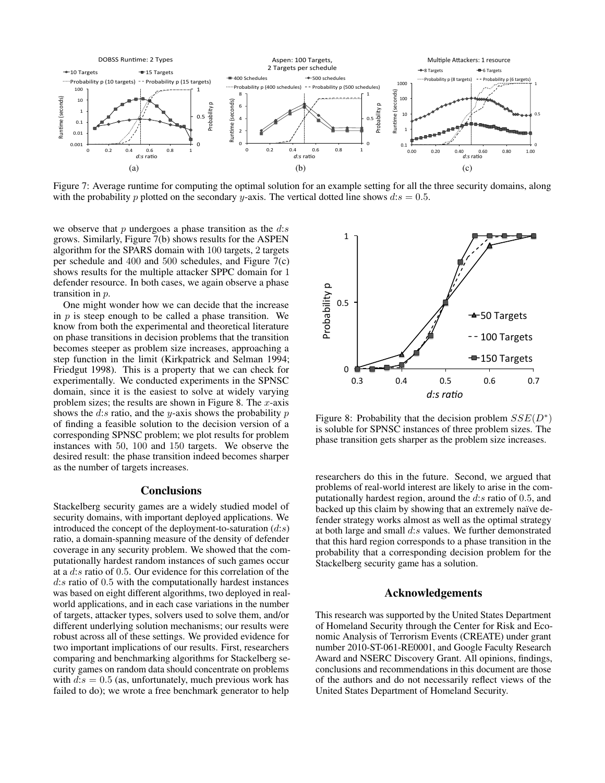

Figure 7: Average runtime for computing the optimal solution for an example setting for all the three security domains, along with the probability p plotted on the secondary y-axis. The vertical dotted line shows  $ds = 0.5$ .

we observe that  $p$  undergoes a phase transition as the  $d:s$ grows. Similarly, Figure 7(b) shows results for the ASPEN algorithm for the SPARS domain with 100 targets, 2 targets per schedule and 400 and 500 schedules, and Figure 7(c) shows results for the multiple attacker SPPC domain for 1 defender resource. In both cases, we again observe a phase transition in p.

One might wonder how we can decide that the increase in  $p$  is steep enough to be called a phase transition. We know from both the experimental and theoretical literature on phase transitions in decision problems that the transition becomes steeper as problem size increases, approaching a step function in the limit (Kirkpatrick and Selman 1994; Friedgut 1998). This is a property that we can check for experimentally. We conducted experiments in the SPNSC domain, since it is the easiest to solve at widely varying problem sizes; the results are shown in Figure 8. The  $x$ -axis shows the  $d:s$  ratio, and the y-axis shows the probability  $p$ of finding a feasible solution to the decision version of a corresponding SPNSC problem; we plot results for problem instances with 50, 100 and 150 targets. We observe the desired result: the phase transition indeed becomes sharper as the number of targets increases.

### **Conclusions**

Stackelberg security games are a widely studied model of security domains, with important deployed applications. We introduced the concept of the deployment-to-saturation  $(d:s)$ ratio, a domain-spanning measure of the density of defender coverage in any security problem. We showed that the computationally hardest random instances of such games occur at a d:s ratio of 0.5. Our evidence for this correlation of the d:s ratio of 0.5 with the computationally hardest instances was based on eight different algorithms, two deployed in realworld applications, and in each case variations in the number of targets, attacker types, solvers used to solve them, and/or different underlying solution mechanisms; our results were robust across all of these settings. We provided evidence for two important implications of our results. First, researchers comparing and benchmarking algorithms for Stackelberg security games on random data should concentrate on problems with  $ds = 0.5$  (as, unfortunately, much previous work has failed to do); we wrote a free benchmark generator to help



Figure 8: Probability that the decision problem  $SSE(D^*)$ is soluble for SPNSC instances of three problem sizes. The phase transition gets sharper as the problem size increases.

researchers do this in the future. Second, we argued that problems of real-world interest are likely to arise in the computationally hardest region, around the  $d:s$  ratio of 0.5, and backed up this claim by showing that an extremely naïve defender strategy works almost as well as the optimal strategy at both large and small  $d:s$  values. We further demonstrated that this hard region corresponds to a phase transition in the probability that a corresponding decision problem for the Stackelberg security game has a solution.

### Acknowledgements

This research was supported by the United States Department of Homeland Security through the Center for Risk and Economic Analysis of Terrorism Events (CREATE) under grant number 2010-ST-061-RE0001, and Google Faculty Research Award and NSERC Discovery Grant. All opinions, findings, conclusions and recommendations in this document are those of the authors and do not necessarily reflect views of the United States Department of Homeland Security.